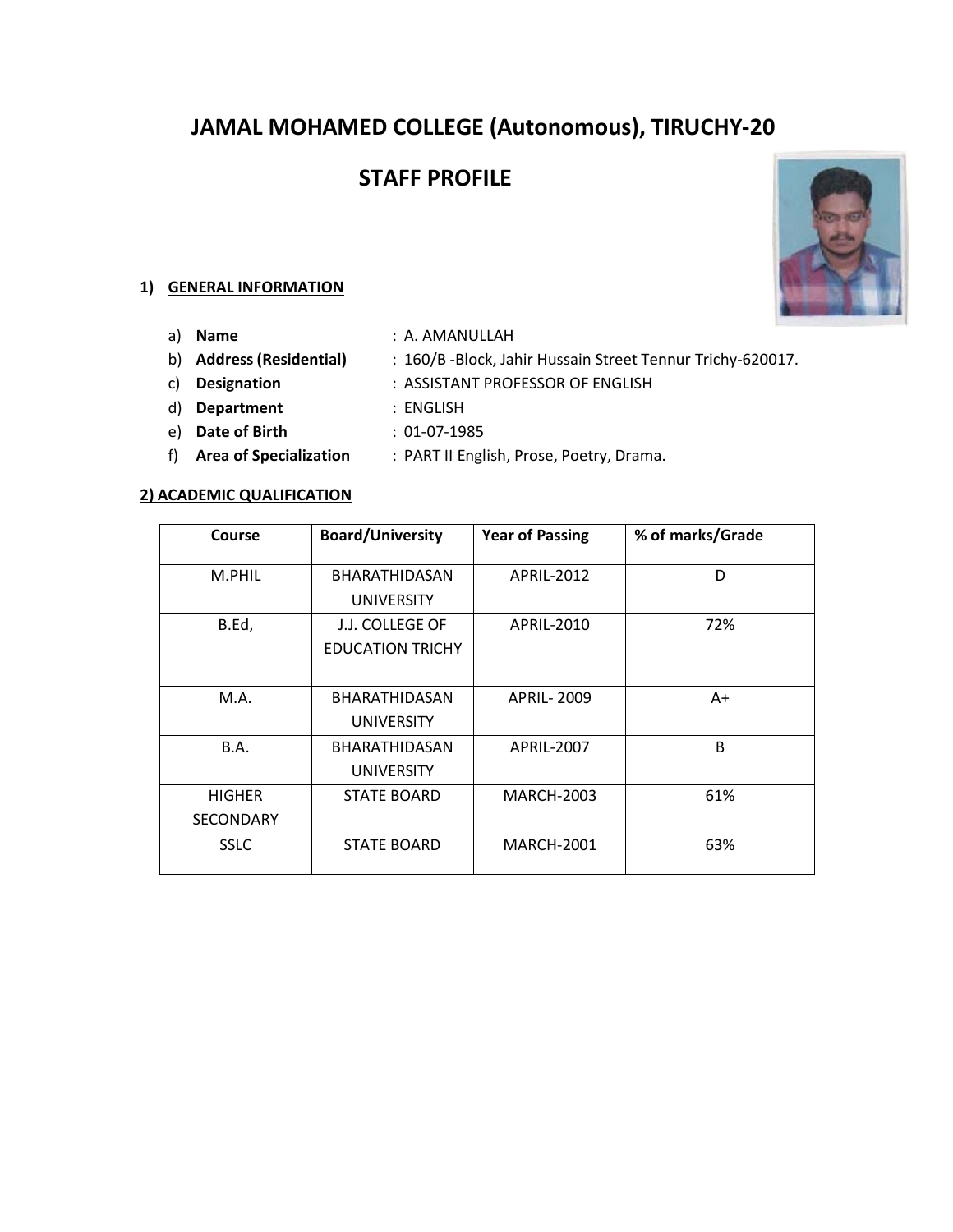# **JAMAL MOHAMED COLLEGE (Autonomous), TIRUCHY-20**

# **STAFF PROFILE**



- 
- a) **Name** : A. AMANULLAH
- b) **Address (Residential)** : 160/B -Block, Jahir Hussain Street Tennur Trichy-620017.
	-
	-
- c) **Designation** : ASSISTANT PROFESSOR OF ENGLISH
- d) **Department** : ENGLISH
- e) **Date of Birth** : 01-07-1985
- f) **Area of Specialization** : PART II English, Prose, Poetry, Drama.

#### **2) ACADEMIC QUALIFICATION**

| Course           | <b>Board/University</b> | <b>Year of Passing</b> | % of marks/Grade |
|------------------|-------------------------|------------------------|------------------|
| M.PHIL           | <b>BHARATHIDASAN</b>    | APRIL-2012             | D                |
|                  | <b>UNIVERSITY</b>       |                        |                  |
| B.Ed,            | J.J. COLLEGE OF         | APRIL-2010             | 72%              |
|                  | <b>EDUCATION TRICHY</b> |                        |                  |
|                  |                         |                        |                  |
| M.A.             | <b>BHARATHIDASAN</b>    | <b>APRIL-2009</b>      | $A+$             |
|                  | <b>UNIVERSITY</b>       |                        |                  |
| B.A.             | <b>BHARATHIDASAN</b>    | <b>APRIL-2007</b>      | B                |
|                  | <b>UNIVERSITY</b>       |                        |                  |
| <b>HIGHER</b>    | <b>STATE BOARD</b>      | <b>MARCH-2003</b>      | 61%              |
| <b>SECONDARY</b> |                         |                        |                  |
| <b>SSLC</b>      | <b>STATE BOARD</b>      | <b>MARCH-2001</b>      | 63%              |

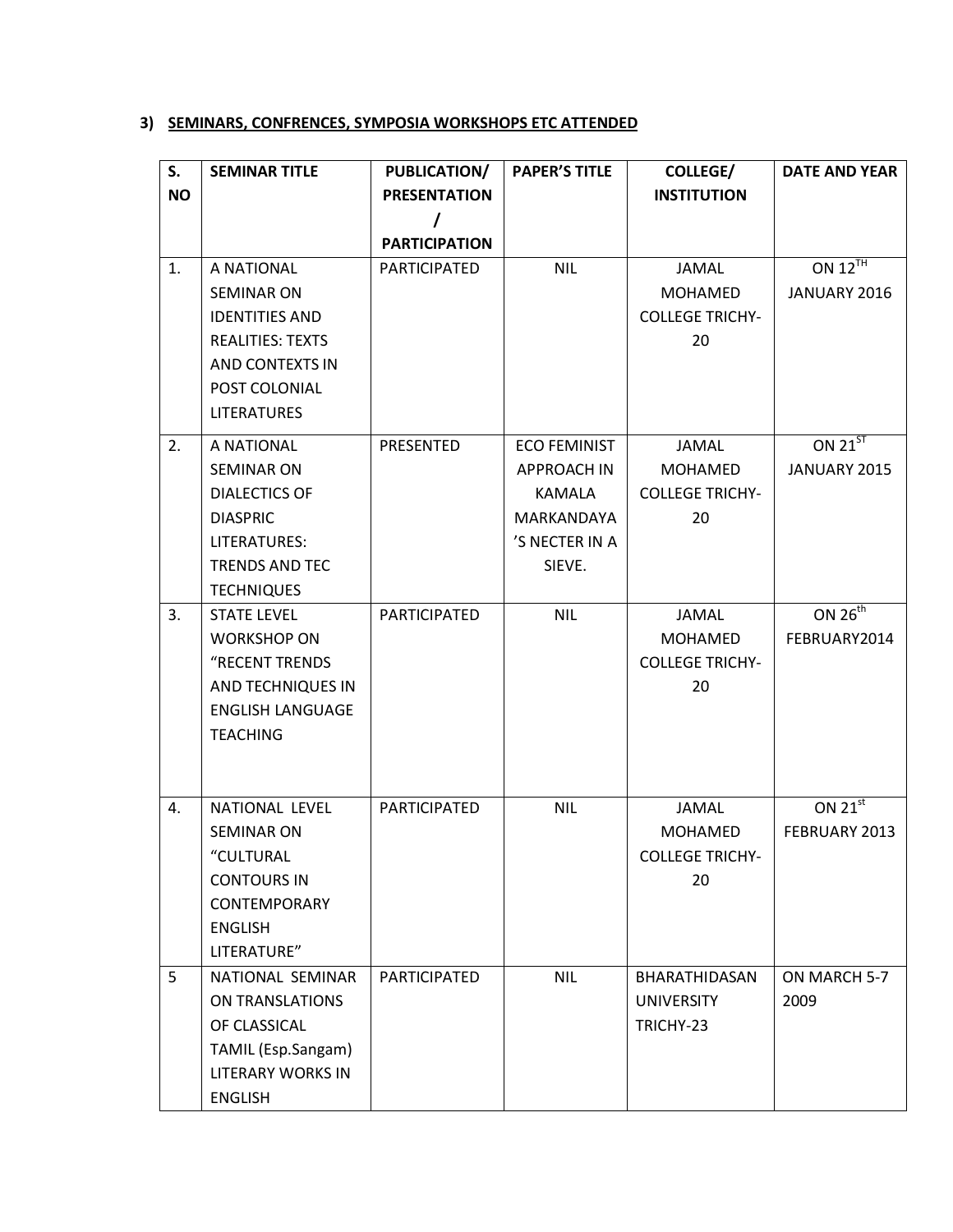# **3) SEMINARS, CONFRENCES, SYMPOSIA WORKSHOPS ETC ATTENDED**

| S.        | <b>SEMINAR TITLE</b>     | PUBLICATION/         | <b>PAPER'S TITLE</b> | <b>COLLEGE/</b>        | <b>DATE AND YEAR</b> |
|-----------|--------------------------|----------------------|----------------------|------------------------|----------------------|
| <b>NO</b> |                          | <b>PRESENTATION</b>  |                      | <b>INSTITUTION</b>     |                      |
|           |                          | I                    |                      |                        |                      |
|           |                          | <b>PARTICIPATION</b> |                      |                        |                      |
| 1.        | A NATIONAL               | <b>PARTICIPATED</b>  | <b>NIL</b>           | JAMAL                  | ON $12^{TH}$         |
|           | <b>SEMINAR ON</b>        |                      |                      | <b>MOHAMED</b>         | JANUARY 2016         |
|           | <b>IDENTITIES AND</b>    |                      |                      | <b>COLLEGE TRICHY-</b> |                      |
|           | <b>REALITIES: TEXTS</b>  |                      |                      | 20                     |                      |
|           | AND CONTEXTS IN          |                      |                      |                        |                      |
|           | POST COLONIAL            |                      |                      |                        |                      |
|           | <b>LITERATURES</b>       |                      |                      |                        |                      |
| 2.        | A NATIONAL               | PRESENTED            | <b>ECO FEMINIST</b>  | <b>JAMAL</b>           | ON $21^{5T}$         |
|           | <b>SEMINAR ON</b>        |                      | <b>APPROACH IN</b>   | <b>MOHAMED</b>         | JANUARY 2015         |
|           | <b>DIALECTICS OF</b>     |                      | <b>KAMALA</b>        | <b>COLLEGE TRICHY-</b> |                      |
|           | <b>DIASPRIC</b>          |                      | MARKANDAYA           | 20                     |                      |
|           | LITERATURES:             |                      | 'S NECTER IN A       |                        |                      |
|           | <b>TRENDS AND TEC</b>    |                      | SIEVE.               |                        |                      |
|           | <b>TECHNIQUES</b>        |                      |                      |                        |                      |
| 3.        | <b>STATE LEVEL</b>       | PARTICIPATED         | <b>NIL</b>           | <b>JAMAL</b>           | ON $26^{th}$         |
|           | <b>WORKSHOP ON</b>       |                      |                      | <b>MOHAMED</b>         | FEBRUARY2014         |
|           | "RECENT TRENDS           |                      |                      | <b>COLLEGE TRICHY-</b> |                      |
|           | AND TECHNIQUES IN        |                      |                      | 20                     |                      |
|           | <b>ENGLISH LANGUAGE</b>  |                      |                      |                        |                      |
|           | <b>TEACHING</b>          |                      |                      |                        |                      |
|           |                          |                      |                      |                        |                      |
|           |                          |                      |                      |                        |                      |
| 4.        | <b>NATIONAL LEVEL</b>    | PARTICIPATED         | <b>NIL</b>           | JAMAL                  | ON $21^{st}$         |
|           | <b>SEMINAR ON</b>        |                      |                      | <b>MOHAMED</b>         | FEBRUARY 2013        |
|           | "CULTURAL                |                      |                      | <b>COLLEGE TRICHY-</b> |                      |
|           | <b>CONTOURS IN</b>       |                      |                      | 20                     |                      |
|           | CONTEMPORARY             |                      |                      |                        |                      |
|           | <b>ENGLISH</b>           |                      |                      |                        |                      |
|           | LITERATURE"              |                      |                      |                        |                      |
| 5         | NATIONAL SEMINAR         | PARTICIPATED         | <b>NIL</b>           | BHARATHIDASAN          | ON MARCH 5-7         |
|           | ON TRANSLATIONS          |                      |                      | <b>UNIVERSITY</b>      | 2009                 |
|           | OF CLASSICAL             |                      |                      | TRICHY-23              |                      |
|           | TAMIL (Esp.Sangam)       |                      |                      |                        |                      |
|           | <b>LITERARY WORKS IN</b> |                      |                      |                        |                      |
|           | <b>ENGLISH</b>           |                      |                      |                        |                      |